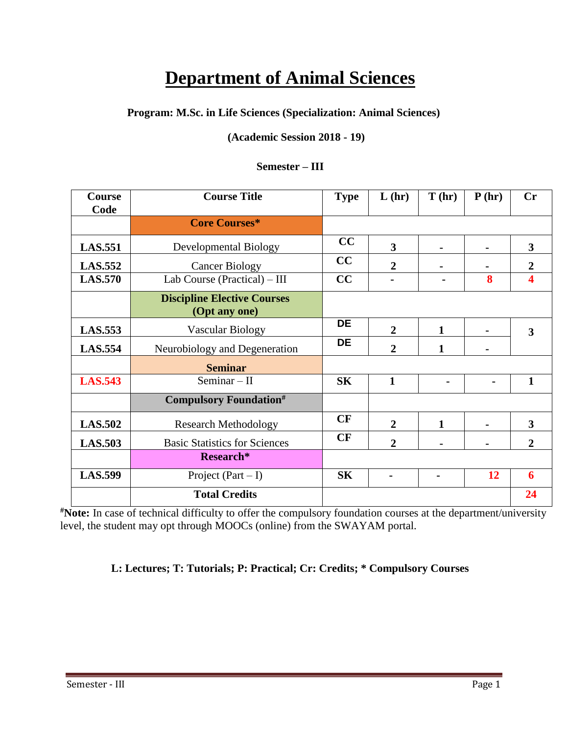# **Department of Animal Sciences**

# **Program: M.Sc. in Life Sciences (Specialization: Animal Sciences)**

# **(Academic Session 2018 - 19)**

### **Semester – III**

| Course<br>Code | <b>Course Title</b>                                 | <b>Type</b> | L(hr)                   | T(hr)        | P(hr) | <b>Cr</b>               |
|----------------|-----------------------------------------------------|-------------|-------------------------|--------------|-------|-------------------------|
|                | <b>Core Courses*</b>                                |             |                         |              |       |                         |
| <b>LAS.551</b> | <b>Developmental Biology</b>                        | CC          | $\overline{\mathbf{3}}$ |              |       | $\overline{\mathbf{3}}$ |
| <b>LAS.552</b> | <b>Cancer Biology</b>                               | CC          | $\overline{2}$          |              |       | $\boldsymbol{2}$        |
| <b>LAS.570</b> | Lab Course (Practical) - III                        | CC          |                         |              | 8     | 4                       |
|                | <b>Discipline Elective Courses</b><br>(Opt any one) |             |                         |              |       |                         |
| <b>LAS.553</b> | <b>Vascular Biology</b>                             | <b>DE</b>   | $\overline{2}$          | $\mathbf{1}$ |       | $\overline{\mathbf{3}}$ |
| <b>LAS.554</b> | Neurobiology and Degeneration                       | <b>DE</b>   | $\overline{2}$          | $\mathbf{1}$ |       |                         |
|                | <b>Seminar</b>                                      |             |                         |              |       |                         |
| <b>LAS.543</b> | Seminar $-$ II                                      | <b>SK</b>   | $\mathbf{1}$            |              |       | $\mathbf{1}$            |
|                | <b>Compulsory Foundation#</b>                       |             |                         |              |       |                         |
| <b>LAS.502</b> | <b>Research Methodology</b>                         | CF          | $\overline{2}$          | $\mathbf{1}$ |       | $\overline{\mathbf{3}}$ |
| <b>LAS.503</b> | <b>Basic Statistics for Sciences</b>                | CF          | $\overline{2}$          |              |       | $\overline{2}$          |
|                | Research*                                           |             |                         |              |       |                         |
| <b>LAS.599</b> | Project $(Part - I)$                                | <b>SK</b>   |                         |              | 12    | 6                       |
|                | <b>Total Credits</b>                                |             |                         |              |       | 24                      |

**#Note:** In case of technical difficulty to offer the compulsory foundation courses at the department/university level, the student may opt through MOOCs (online) from the SWAYAM portal.

# **L: Lectures; T: Tutorials; P: Practical; Cr: Credits; \* Compulsory Courses**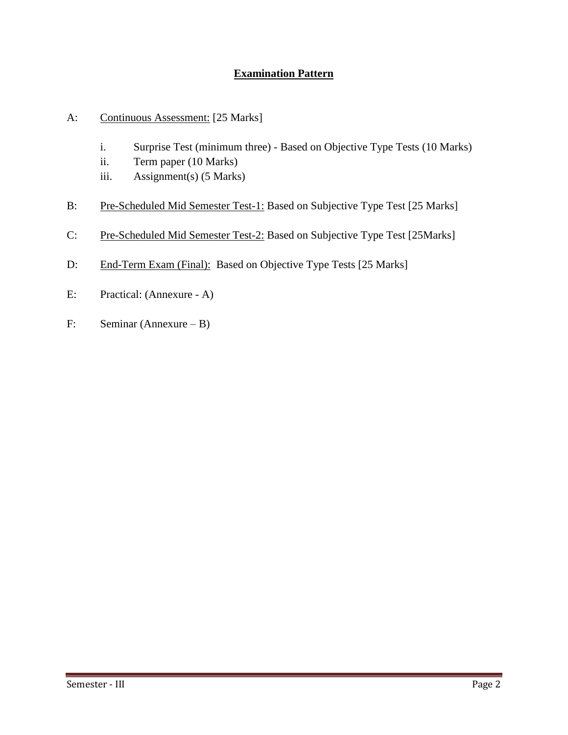# **Examination Pattern**

- A: Continuous Assessment: [25 Marks]
	- i. Surprise Test (minimum three) Based on Objective Type Tests (10 Marks)
	- ii. Term paper (10 Marks)
	- iii. Assignment(s) (5 Marks)
- B: Pre-Scheduled Mid Semester Test-1: Based on Subjective Type Test [25 Marks]
- C: Pre-Scheduled Mid Semester Test-2: Based on Subjective Type Test [25Marks]
- D: End-Term Exam (Final): Based on Objective Type Tests [25 Marks]
- E: Practical: (Annexure A)
- F: Seminar (Annexure B)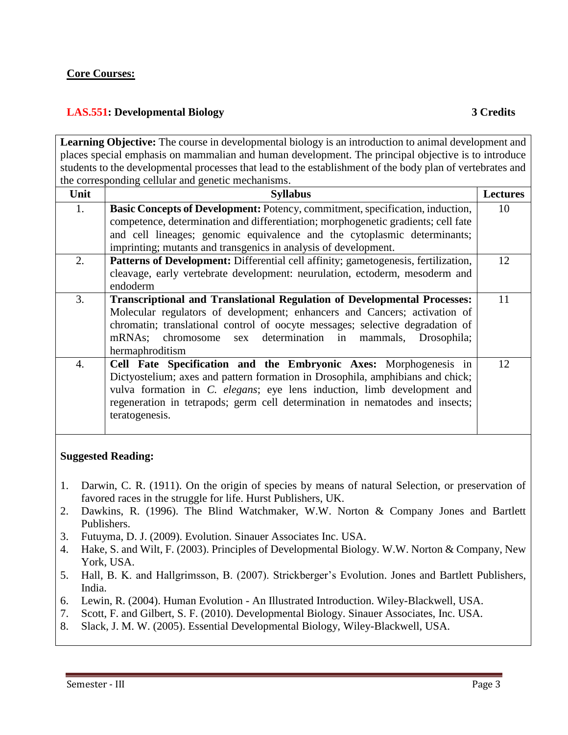## **Core Courses:**

# **LAS.551: Developmental Biology 3 Credits**

**Learning Objective:** The course in developmental biology is an introduction to animal development and places special emphasis on mammalian and human development. The principal objective is to introduce students to the developmental processes that lead to the establishment of the body plan of vertebrates and the corresponding cellular and genetic mechanisms.

| Unit             | <b>Syllabus</b>                                                                      | <b>Lectures</b> |
|------------------|--------------------------------------------------------------------------------------|-----------------|
| 1.               | <b>Basic Concepts of Development:</b> Potency, commitment, specification, induction, | 10              |
|                  | competence, determination and differentiation; morphogenetic gradients; cell fate    |                 |
|                  | and cell lineages; genomic equivalence and the cytoplasmic determinants;             |                 |
|                  | imprinting; mutants and transgenics in analysis of development.                      |                 |
| 2.               | Patterns of Development: Differential cell affinity; gametogenesis, fertilization,   | 12              |
|                  | cleavage, early vertebrate development: neurulation, ectoderm, mesoderm and          |                 |
|                  | endoderm                                                                             |                 |
| 3.               | <b>Transcriptional and Translational Regulation of Developmental Processes:</b>      | 11              |
|                  | Molecular regulators of development; enhancers and Cancers; activation of            |                 |
|                  | chromatin; translational control of oocyte messages; selective degradation of        |                 |
|                  | mRNAs; chromosome sex determination in mammals, Drosophila;                          |                 |
|                  | hermaphroditism                                                                      |                 |
| $\overline{4}$ . | Cell Fate Specification and the Embryonic Axes: Morphogenesis in                     | 12              |
|                  | Dictyostelium; axes and pattern formation in Drosophila, amphibians and chick;       |                 |
|                  | vulva formation in C. elegans; eye lens induction, limb development and              |                 |
|                  | regeneration in tetrapods; germ cell determination in nematodes and insects;         |                 |
|                  | teratogenesis.                                                                       |                 |
|                  |                                                                                      |                 |

### **Suggested Reading:**

- 1. Darwin, C. R. (1911). On the origin of species by means of natural Selection, or preservation of favored races in the struggle for life. Hurst Publishers, UK.
- 2. Dawkins, R. (1996). The Blind Watchmaker, W.W. Norton & Company Jones and Bartlett Publishers.
- 3. Futuyma, D. J. (2009). Evolution. Sinauer Associates Inc. USA.
- 4. Hake, S. and Wilt, F. (2003). Principles of Developmental Biology. W.W. Norton & Company, New York, USA.
- 5. Hall, B. K. and Hallgrimsson, B. (2007). Strickberger's Evolution. Jones and Bartlett Publishers, India.
- 6. Lewin, R. (2004). Human Evolution An Illustrated Introduction. Wiley-Blackwell, USA.
- 7. Scott, F. and Gilbert, S. F. (2010). Developmental Biology. Sinauer Associates, Inc. USA.
- 8. Slack, J. M. W. (2005). Essential Developmental Biology, Wiley-Blackwell, USA.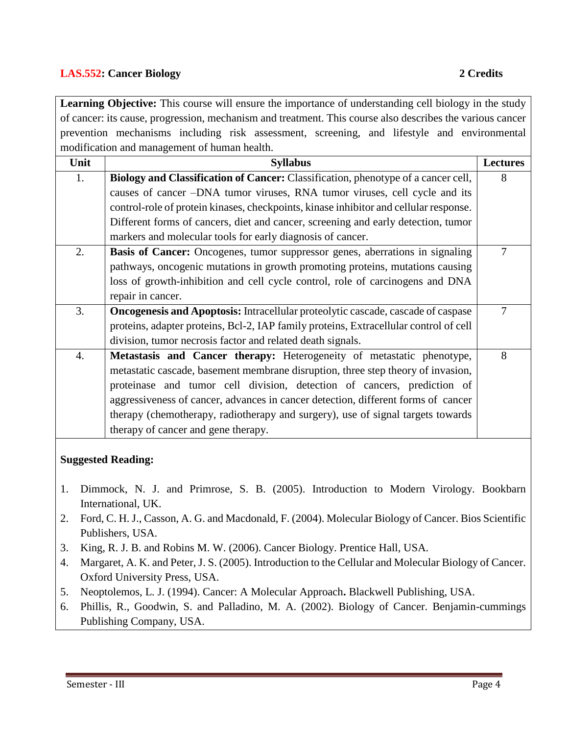# **LAS.552: Cancer Biology 2 Credits**

**Learning Objective:** This course will ensure the importance of understanding cell biology in the study of cancer: its cause, progression, mechanism and treatment. This course also describes the various cancer prevention mechanisms including risk assessment, screening, and lifestyle and environmental modification and management of human health.

| Unit | <b>Syllabus</b>                                                                         | <b>Lectures</b> |
|------|-----------------------------------------------------------------------------------------|-----------------|
| 1.   | Biology and Classification of Cancer: Classification, phenotype of a cancer cell,       | 8               |
|      | causes of cancer -DNA tumor viruses, RNA tumor viruses, cell cycle and its              |                 |
|      | control-role of protein kinases, checkpoints, kinase inhibitor and cellular response.   |                 |
|      | Different forms of cancers, diet and cancer, screening and early detection, tumor       |                 |
|      | markers and molecular tools for early diagnosis of cancer.                              |                 |
| 2.   | <b>Basis of Cancer:</b> Oncogenes, tumor suppressor genes, aberrations in signaling     | 7               |
|      | pathways, oncogenic mutations in growth promoting proteins, mutations causing           |                 |
|      | loss of growth-inhibition and cell cycle control, role of carcinogens and DNA           |                 |
|      | repair in cancer.                                                                       |                 |
| 3.   | <b>Oncogenesis and Apoptosis:</b> Intracellular proteolytic cascade, cascade of caspase | $\overline{7}$  |
|      | proteins, adapter proteins, Bcl-2, IAP family proteins, Extracellular control of cell   |                 |
|      | division, tumor necrosis factor and related death signals.                              |                 |
| 4.   | Metastasis and Cancer therapy: Heterogeneity of metastatic phenotype,                   | 8               |
|      | metastatic cascade, basement membrane disruption, three step theory of invasion,        |                 |
|      | proteinase and tumor cell division, detection of cancers, prediction of                 |                 |
|      | aggressiveness of cancer, advances in cancer detection, different forms of cancer       |                 |
|      | therapy (chemotherapy, radiotherapy and surgery), use of signal targets towards         |                 |
|      | therapy of cancer and gene therapy.                                                     |                 |
|      | <b>Suggested Reading:</b>                                                               |                 |

- 1. Dimmock, N. J. and Primrose, S. B. (2005). Introduction to Modern Virology. Bookbarn International, UK.
- 2. Ford, C. H. J., Casson, A. G. and Macdonald, F. (2004). Molecular Biology of Cancer. Bios Scientific Publishers, USA.
- 3. King, R. J. B. and Robins M. W. (2006). Cancer Biology. Prentice Hall, USA.
- 4. Margaret, A. K. and Peter, J. S. (2005). Introduction to the Cellular and Molecular Biology of Cancer. Oxford University Press, USA.
- 5. Neoptolemos, L. J. (1994). Cancer: A Molecular Approach**.** Blackwell Publishing, USA.
- 6. Phillis, R., Goodwin, S. and Palladino, M. A. (2002). Biology of Cancer. Benjamin-cummings Publishing Company, USA.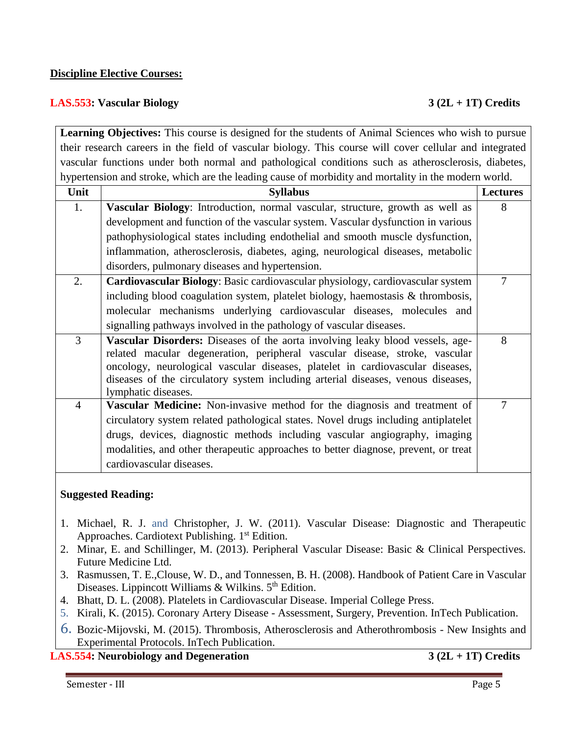#### **Discipline Elective Courses:**

#### **LAS.553: Vascular Biology 3 (2L + 1T) Credits**

**Learning Objectives:** This course is designed for the students of Animal Sciences who wish to pursue their research careers in the field of vascular biology. This course will cover cellular and integrated vascular functions under both normal and pathological conditions such as atherosclerosis, diabetes, hypertension and stroke, which are the leading cause of morbidity and mortality in the modern world.

| Unit           | <b>Syllabus</b>                                                                                                                                                                                                                                                                                                                                                  | <b>Lectures</b> |
|----------------|------------------------------------------------------------------------------------------------------------------------------------------------------------------------------------------------------------------------------------------------------------------------------------------------------------------------------------------------------------------|-----------------|
| 1.             | Vascular Biology: Introduction, normal vascular, structure, growth as well as                                                                                                                                                                                                                                                                                    | 8               |
|                | development and function of the vascular system. Vascular dysfunction in various                                                                                                                                                                                                                                                                                 |                 |
|                | pathophysiological states including endothelial and smooth muscle dysfunction,                                                                                                                                                                                                                                                                                   |                 |
|                | inflammation, atherosclerosis, diabetes, aging, neurological diseases, metabolic                                                                                                                                                                                                                                                                                 |                 |
|                | disorders, pulmonary diseases and hypertension.                                                                                                                                                                                                                                                                                                                  |                 |
| 2.             | Cardiovascular Biology: Basic cardiovascular physiology, cardiovascular system                                                                                                                                                                                                                                                                                   | 7               |
|                | including blood coagulation system, platelet biology, haemostasis & thrombosis,                                                                                                                                                                                                                                                                                  |                 |
|                | molecular mechanisms underlying cardiovascular diseases, molecules and                                                                                                                                                                                                                                                                                           |                 |
|                | signalling pathways involved in the pathology of vascular diseases.                                                                                                                                                                                                                                                                                              |                 |
| $\overline{3}$ | <b>Vascular Disorders:</b> Diseases of the aorta involving leaky blood vessels, age-<br>related macular degeneration, peripheral vascular disease, stroke, vascular<br>oncology, neurological vascular diseases, platelet in cardiovascular diseases,<br>diseases of the circulatory system including arterial diseases, venous diseases,<br>lymphatic diseases. | 8               |
| $\overline{4}$ | Vascular Medicine: Non-invasive method for the diagnosis and treatment of                                                                                                                                                                                                                                                                                        | $\overline{7}$  |
|                | circulatory system related pathological states. Novel drugs including antiplatelet                                                                                                                                                                                                                                                                               |                 |
|                | drugs, devices, diagnostic methods including vascular angiography, imaging                                                                                                                                                                                                                                                                                       |                 |
|                | modalities, and other therapeutic approaches to better diagnose, prevent, or treat                                                                                                                                                                                                                                                                               |                 |
|                | cardiovascular diseases.                                                                                                                                                                                                                                                                                                                                         |                 |

#### **Suggested Reading:**

- 1. Michael, R. J. and Christopher, J. W. (2011). Vascular Disease: Diagnostic and Therapeutic Approaches. Cardiotext Publishing. 1<sup>st</sup> Edition.
- 2. Minar, E. and Schillinger, M. (2013). Peripheral Vascular Disease: Basic & Clinical Perspectives. Future Medicine Ltd.
- 3. Rasmussen, T. E.,Clouse, W. D., and Tonnessen, B. H. (2008). Handbook of Patient Care in Vascular Diseases. Lippincott Williams & Wilkins. 5<sup>th</sup> Edition.
- 4. Bhatt, D. L. (2008). Platelets in Cardiovascular Disease. Imperial College Press.
- 5. Kirali, K. (2015). Coronary Artery Disease Assessment, Surgery, Prevention. InTech Publication.
- 6. Bozic-Mijovski, M. (2015). Thrombosis, Atherosclerosis and Atherothrombosis New Insights and Experimental Protocols. InTech Publication.

**LAS.554: Neurobiology and Degeneration 3 (2L + 1T) Credits**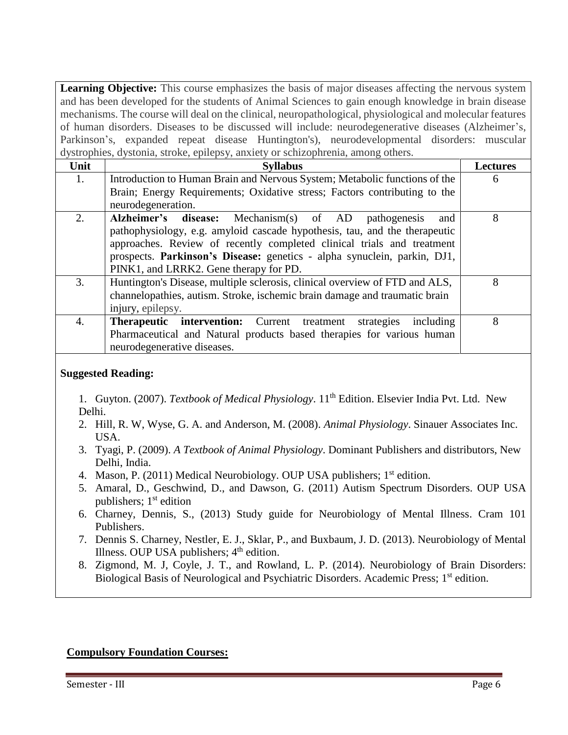Learning Objective: This course emphasizes the basis of major diseases affecting the nervous system and has been developed for the students of Animal Sciences to gain enough knowledge in brain disease mechanisms. The course will deal on the clinical, neuropathological, physiological and molecular features of human disorders. Diseases to be discussed will include: neurodegenerative diseases (Alzheimer's, Parkinson's, expanded repeat disease Huntington's), neurodevelopmental disorders: muscular dystrophies, dystonia, stroke, epilepsy, anxiety or schizophrenia, among others.

| $1000$ phroses, we become the corresponding $1000$ of $1000$ phroses $1000$ |                                                                                                                                                                                                                                                                                                                                           |                 |  |  |
|-----------------------------------------------------------------------------|-------------------------------------------------------------------------------------------------------------------------------------------------------------------------------------------------------------------------------------------------------------------------------------------------------------------------------------------|-----------------|--|--|
| Unit                                                                        | <b>Syllabus</b>                                                                                                                                                                                                                                                                                                                           | <b>Lectures</b> |  |  |
| 1.                                                                          | Introduction to Human Brain and Nervous System; Metabolic functions of the                                                                                                                                                                                                                                                                | 6               |  |  |
|                                                                             | Brain; Energy Requirements; Oxidative stress; Factors contributing to the                                                                                                                                                                                                                                                                 |                 |  |  |
|                                                                             | neurodegeneration.                                                                                                                                                                                                                                                                                                                        |                 |  |  |
| 2.                                                                          | Alzheimer's disease: Mechanism(s) of AD pathogenesis<br>and<br>pathophysiology, e.g. amyloid cascade hypothesis, tau, and the therapeutic<br>approaches. Review of recently completed clinical trials and treatment<br>prospects. Parkinson's Disease: genetics - alpha synuclein, parkin, DJ1,<br>PINK1, and LRRK2. Gene therapy for PD. | 8               |  |  |
| 3.                                                                          | Huntington's Disease, multiple sclerosis, clinical overview of FTD and ALS,<br>channelopathies, autism. Stroke, ischemic brain damage and traumatic brain<br>injury, epilepsy.                                                                                                                                                            | 8               |  |  |
| 4.                                                                          | <b>Therapeutic intervention:</b> Current treatment<br>strategies<br>including<br>Pharmaceutical and Natural products based therapies for various human<br>neurodegenerative diseases.                                                                                                                                                     | 8               |  |  |

### **Suggested Reading:**

1. Guyton. (2007). *Textbook of Medical Physiology*. 11th Edition. Elsevier India Pvt. Ltd. New Delhi.

- 2. Hill, R. W, Wyse, G. A. and Anderson, M. (2008). *Animal Physiology*. Sinauer Associates Inc. USA.
- 3. Tyagi, P. (2009). *A Textbook of Animal Physiology*. Dominant Publishers and distributors, New Delhi, India.
- 4. Mason, P. (2011) Medical Neurobiology. OUP USA publishers; 1<sup>st</sup> edition.
- 5. Amaral, D., Geschwind, D., and Dawson, G. (2011) Autism Spectrum Disorders. OUP USA publishers;  $1<sup>st</sup>$  edition
- 6. Charney, Dennis, S., (2013) Study guide for Neurobiology of Mental Illness. Cram 101 Publishers.
- 7. Dennis S. Charney, Nestler, E. J., Sklar, P., and Buxbaum, J. D. (2013). Neurobiology of Mental Illness. OUP USA publishers:  $4<sup>th</sup>$  edition.
- 8. Zigmond, M. J, Coyle, J. T., and Rowland, L. P. (2014). Neurobiology of Brain Disorders: Biological Basis of Neurological and Psychiatric Disorders. Academic Press; 1<sup>st</sup> edition.

### **Compulsory Foundation Courses:**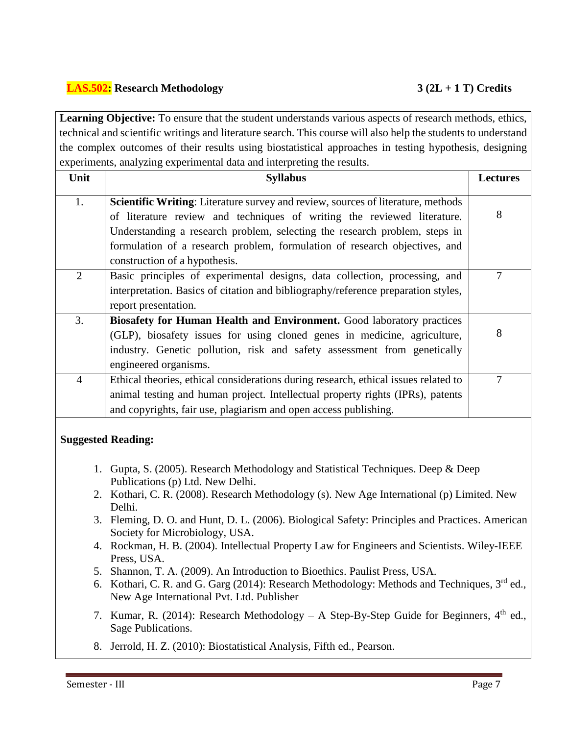# **LAS.502: Research Methodology 3 (2L + 1 T) Credits**

Learning Objective: To ensure that the student understands various aspects of research methods, ethics, technical and scientific writings and literature search. This course will also help the students to understand the complex outcomes of their results using biostatistical approaches in testing hypothesis, designing experiments, analyzing experimental data and interpreting the results.

| Unit           | <b>Syllabus</b>                                                                         |   |
|----------------|-----------------------------------------------------------------------------------------|---|
| 1.             | <b>Scientific Writing:</b> Literature survey and review, sources of literature, methods |   |
|                | of literature review and techniques of writing the reviewed literature.                 | 8 |
|                | Understanding a research problem, selecting the research problem, steps in              |   |
|                | formulation of a research problem, formulation of research objectives, and              |   |
|                | construction of a hypothesis.                                                           |   |
| $\overline{2}$ | Basic principles of experimental designs, data collection, processing, and              | 7 |
|                | interpretation. Basics of citation and bibliography/reference preparation styles,       |   |
|                | report presentation.                                                                    |   |
| 3.             | <b>Biosafety for Human Health and Environment.</b> Good laboratory practices            |   |
|                | (GLP), biosafety issues for using cloned genes in medicine, agriculture,                | 8 |
|                | industry. Genetic pollution, risk and safety assessment from genetically                |   |
|                | engineered organisms.                                                                   |   |
| 4              | Ethical theories, ethical considerations during research, ethical issues related to     | 7 |
|                | animal testing and human project. Intellectual property rights (IPRs), patents          |   |
|                | and copyrights, fair use, plagiarism and open access publishing.                        |   |

### **Suggested Reading:**

- 1. Gupta, S. (2005). Research Methodology and Statistical Techniques. Deep & Deep Publications (p) Ltd. New Delhi.
- 2. Kothari, C. R. (2008). Research Methodology (s). New Age International (p) Limited. New Delhi.
- 3. Fleming, D. O. and Hunt, D. L. (2006). Biological Safety: Principles and Practices. American Society for Microbiology, USA.
- 4. Rockman, H. B. (2004). Intellectual Property Law for Engineers and Scientists. Wiley-IEEE Press, USA.
- 5. Shannon, T. A. (2009). An Introduction to Bioethics. Paulist Press, USA.
- 6. Kothari, C. R. and G. Garg (2014): Research Methodology: Methods and Techniques, 3<sup>rd</sup> ed., New Age International Pvt. Ltd. Publisher
- 7. Kumar, R. (2014): Research Methodology A Step-By-Step Guide for Beginners,  $4<sup>th</sup>$  ed., Sage Publications.
- 8. Jerrold, H. Z. (2010): Biostatistical Analysis, Fifth ed., Pearson.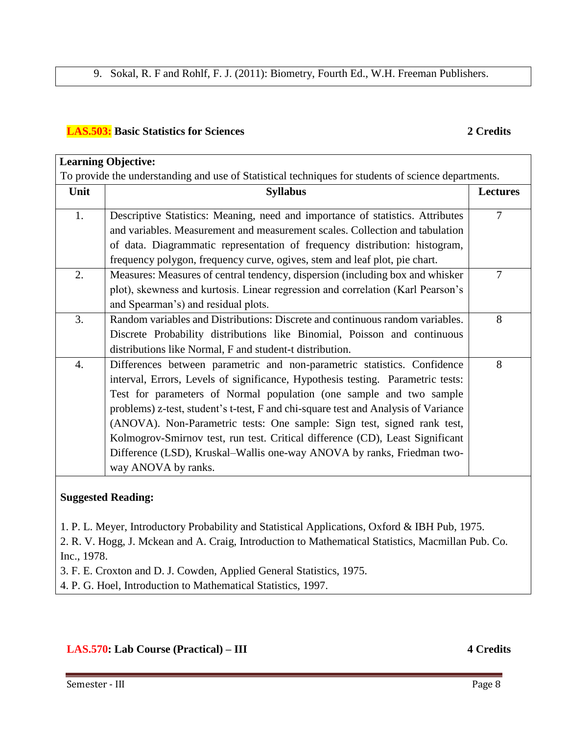### **LAS.503: Basic Statistics for Sciences 2 Credits**

|      | <b>Learning Objective:</b>                                                                                                                                                                                                                                                                                                                                                                                                                                                                                                                                                            |                |  |  |  |
|------|---------------------------------------------------------------------------------------------------------------------------------------------------------------------------------------------------------------------------------------------------------------------------------------------------------------------------------------------------------------------------------------------------------------------------------------------------------------------------------------------------------------------------------------------------------------------------------------|----------------|--|--|--|
|      | To provide the understanding and use of Statistical techniques for students of science departments.                                                                                                                                                                                                                                                                                                                                                                                                                                                                                   |                |  |  |  |
| Unit | <b>Syllabus</b>                                                                                                                                                                                                                                                                                                                                                                                                                                                                                                                                                                       |                |  |  |  |
| 1.   | Descriptive Statistics: Meaning, need and importance of statistics. Attributes<br>and variables. Measurement and measurement scales. Collection and tabulation<br>of data. Diagrammatic representation of frequency distribution: histogram,                                                                                                                                                                                                                                                                                                                                          | $\overline{7}$ |  |  |  |
|      | frequency polygon, frequency curve, ogives, stem and leaf plot, pie chart.                                                                                                                                                                                                                                                                                                                                                                                                                                                                                                            |                |  |  |  |
| 2.   | Measures: Measures of central tendency, dispersion (including box and whisker<br>plot), skewness and kurtosis. Linear regression and correlation (Karl Pearson's<br>and Spearman's) and residual plots.                                                                                                                                                                                                                                                                                                                                                                               | $\overline{7}$ |  |  |  |
| 3.   | Random variables and Distributions: Discrete and continuous random variables.<br>Discrete Probability distributions like Binomial, Poisson and continuous<br>distributions like Normal, F and student-t distribution.                                                                                                                                                                                                                                                                                                                                                                 | 8              |  |  |  |
| 4.   | Differences between parametric and non-parametric statistics. Confidence<br>interval, Errors, Levels of significance, Hypothesis testing. Parametric tests:<br>Test for parameters of Normal population (one sample and two sample<br>problems) z-test, student's t-test, F and chi-square test and Analysis of Variance<br>(ANOVA). Non-Parametric tests: One sample: Sign test, signed rank test,<br>Kolmogrov-Smirnov test, run test. Critical difference (CD), Least Significant<br>Difference (LSD), Kruskal–Wallis one-way ANOVA by ranks, Friedman two-<br>way ANOVA by ranks. | 8              |  |  |  |
|      | <b>Suggested Reading:</b>                                                                                                                                                                                                                                                                                                                                                                                                                                                                                                                                                             |                |  |  |  |

1. P. L. Meyer, Introductory Probability and Statistical Applications, Oxford & IBH Pub, 1975.

2. R. V. Hogg, J. Mckean and A. Craig, Introduction to Mathematical Statistics, Macmillan Pub. Co. Inc., 1978.

3. F. E. Croxton and D. J. Cowden, Applied General Statistics, 1975.

4. P. G. Hoel, Introduction to Mathematical Statistics, 1997.

**LAS.570: Lab Course (Practical) – III 4 Credits**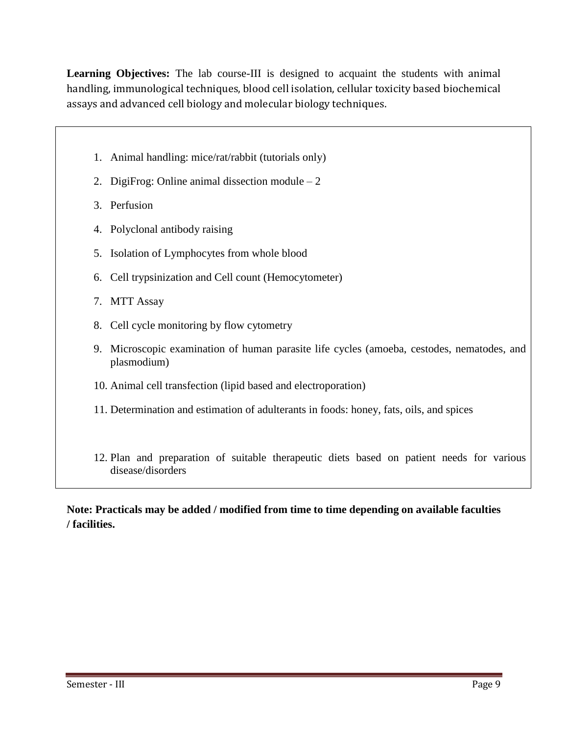**Learning Objectives:** The lab course-III is designed to acquaint the students with animal handling, immunological techniques, blood cell isolation, cellular toxicity based biochemical assays and advanced cell biology and molecular biology techniques.

- 1. Animal handling: mice/rat/rabbit (tutorials only)
- 2. DigiFrog: Online animal dissection module  $-2$
- 3. Perfusion
- 4. Polyclonal antibody raising
- 5. Isolation of Lymphocytes from whole blood
- 6. Cell trypsinization and Cell count (Hemocytometer)
- 7. MTT Assay
- 8. Cell cycle monitoring by flow cytometry
- 9. Microscopic examination of human parasite life cycles (amoeba, cestodes, nematodes, and plasmodium)
- 10. Animal cell transfection (lipid based and electroporation)
- 11. Determination and estimation of adulterants in foods: honey, fats, oils, and spices
- 12. Plan and preparation of suitable therapeutic diets based on patient needs for various disease/disorders

**Note: Practicals may be added / modified from time to time depending on available faculties / facilities.**